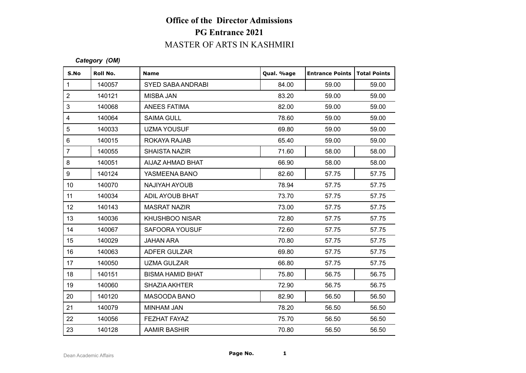# **Office of the Director Admissions PG Entrance 2021** MASTER OF ARTS IN KASHMIRI

#### *Category (OM)*

|      | <b>PG Entrance 2021</b> |                                   |            |                        |                     |  |  |
|------|-------------------------|-----------------------------------|------------|------------------------|---------------------|--|--|
|      |                         | <b>MASTER OF ARTS IN KASHMIRI</b> |            |                        |                     |  |  |
|      | Category (OM)           |                                   |            |                        |                     |  |  |
| S.No | Roll No.                | <b>Name</b>                       | Qual. %age | <b>Entrance Points</b> | <b>Total Points</b> |  |  |
|      | 140057                  | <b>SYED SABA ANDRABI</b>          | 84.00      | 59.00                  | 59.00               |  |  |
|      | 140121                  | <b>MISBA JAN</b>                  | 83.20      | 59.00                  | 59.00               |  |  |
|      | 140068                  | <b>ANEES FATIMA</b>               | 82.00      | 59.00                  | 59.00               |  |  |
|      | 140064                  | <b>SAIMA GULL</b>                 | 78.60      | 59.00                  | 59.00               |  |  |
|      | 140033                  | <b>UZMA YOUSUF</b>                | 69.80      | 59.00                  | 59.00               |  |  |
|      | 140015                  | ROKAYA RAJAB                      | 65.40      | 59.00                  | 59.00               |  |  |
|      | 140055                  | <b>SHAISTA NAZIR</b>              | 71.60      | 58.00                  | 58.00               |  |  |
|      | 140051                  | AIJAZ AHMAD BHAT                  | 66.90      | 58.00                  | 58.00               |  |  |
|      | 140124                  | YASMEENA BANO                     | 82.60      | 57.75                  | 57.75               |  |  |
|      | 140070                  | <b>NAJIYAH AYOUB</b>              | 78.94      | 57.75                  | 57.75               |  |  |
|      | 140034                  | ADIL AYOUB BHAT                   | 73.70      | 57.75                  | 57.75               |  |  |
|      | 140143                  | <b>MASRAT NAZIR</b>               | 73.00      | 57.75                  | 57.75               |  |  |
|      | 140036                  | <b>KHUSHBOO NISAR</b>             | 72.80      | 57.75                  | 57.75               |  |  |
|      | 140067                  | SAFOORA YOUSUF                    | 72.60      | 57.75                  | 57.75               |  |  |
|      | 140029                  | <b>JAHAN ARA</b>                  | 70.80      | 57.75                  | 57.75               |  |  |
|      | 140063                  | ADFER GULZAR                      | 69.80      | 57.75                  | 57.75               |  |  |
|      | 140050                  | <b>UZMA GULZAR</b>                | 66.80      | 57.75                  | 57.75               |  |  |
|      | 140151                  | <b>BISMA HAMID BHAT</b>           | 75.80      | 56.75                  | 56.75               |  |  |
|      | 140060                  | <b>SHAZIA AKHTER</b>              | 72.90      | 56.75                  | 56.75               |  |  |
|      | 140120                  | MASOODA BANO                      | 82.90      | 56.50                  | 56.50               |  |  |
|      | 140079                  | <b>MINHAM JAN</b>                 | 78.20      | 56.50                  | 56.50               |  |  |
|      | 140056                  | FEZHAT FAYAZ                      | 75.70      | 56.50                  | 56.50               |  |  |
|      | 140128                  | AAMIR BASHIR                      | 70.80      | 56.50                  | 56.50               |  |  |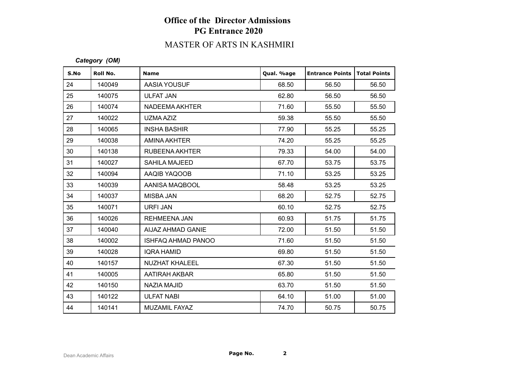# **Office of the Director Admissions PG Entrance 2020**

# MASTER OF ARTS IN KASHMIRI

#### *Category (OM)*

| S.No | Roll No. | <b>Name</b>               | Qual. %age | <b>Entrance Points</b> | <b>Total Points</b> |
|------|----------|---------------------------|------------|------------------------|---------------------|
| 24   | 140049   | AASIA YOUSUF              | 68.50      | 56.50                  | 56.50               |
| 25   | 140075   | <b>ULFAT JAN</b>          | 62.80      | 56.50                  | 56.50               |
| 26   | 140074   | NADEEMA AKHTER            | 71.60      | 55.50                  | 55.50               |
| 27   | 140022   | UZMA AZIZ                 | 59.38      | 55.50                  | 55.50               |
| 28   | 140065   | <b>INSHA BASHIR</b>       | 77.90      | 55.25                  | 55.25               |
| 29   | 140038   | AMINA AKHTER              | 74.20      | 55.25                  | 55.25               |
| 30   | 140138   | <b>RUBEENA AKHTER</b>     | 79.33      | 54.00                  | 54.00               |
| 31   | 140027   | <b>SAHILA MAJEED</b>      | 67.70      | 53.75                  | 53.75               |
| 32   | 140094   | AAQIB YAQOOB              | 71.10      | 53.25                  | 53.25               |
| 33   | 140039   | AANISA MAQBOOL            | 58.48      | 53.25                  | 53.25               |
| 34   | 140037   | <b>MISBA JAN</b>          | 68.20      | 52.75                  | 52.75               |
| 35   | 140071   | URFI JAN                  | 60.10      | 52.75                  | 52.75               |
| 36   | 140026   | <b>REHMEENA JAN</b>       | 60.93      | 51.75                  | 51.75               |
| 37   | 140040   | AIJAZ AHMAD GANIE         | 72.00      | 51.50                  | 51.50               |
| 38   | 140002   | <b>ISHFAQ AHMAD PANOO</b> | 71.60      | 51.50                  | 51.50               |
| 39   | 140028   | <b>IQRA HAMID</b>         | 69.80      | 51.50                  | 51.50               |
| 40   | 140157   | <b>NUZHAT KHALEEL</b>     | 67.30      | 51.50                  | 51.50               |
| 41   | 140005   | AATIRAH AKBAR             | 65.80      | 51.50                  | 51.50               |
| 42   | 140150   | NAZIA MAJID               | 63.70      | 51.50                  | 51.50               |
| 43   | 140122   | <b>ULFAT NABI</b>         | 64.10      | 51.00                  | 51.00               |
| 44   | 140141   | MUZAMIL FAYAZ             | 74.70      | 50.75                  | 50.75               |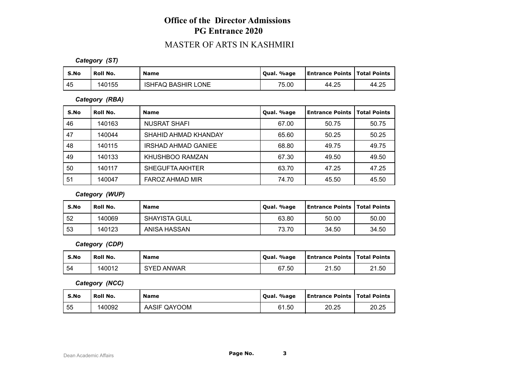## **Office of the Director Admissions PG Entrance 2020**

### MASTER OF ARTS IN KASHMIRI

*Category (ST)*

| S.No | Roll No. | <b>Name</b>               | Oual. %age | <b>Entrance Points   Total Points</b> |       |
|------|----------|---------------------------|------------|---------------------------------------|-------|
| 45   | 140155   | <b>ISHFAQ BASHIR LONE</b> | 75.00      | 44.25                                 | 44.25 |

*Category (RBA)*

| S.No | Roll No. | <b>Name</b>                | Qual. %age | <b>Entrance Points</b> | <b>Total Points</b> |
|------|----------|----------------------------|------------|------------------------|---------------------|
| 46   | 140163   | NUSRAT SHAFI               | 67.00      | 50.75                  | 50.75               |
| 47   | 140044   | SHAHID AHMAD KHANDAY       | 65.60      | 50.25                  | 50.25               |
| 48   | 140115   | <b>IRSHAD AHMAD GANIEE</b> | 68.80      | 49.75                  | 49.75               |
| 49   | 140133   | KHUSHBOO RAMZAN            | 67.30      | 49.50                  | 49.50               |
| 50   | 140117   | SHEGUFTA AKHTER            | 63.70      | 47.25                  | 47.25               |
| 51   | 140047   | FAROZ AHMAD MIR            | 74.70      | 45.50                  | 45.50               |

*Category (WUP)*

| S.No | Roll No. | <b>Name</b>          | Qual. %age | <b>Entrance Points   Total Points</b> |       |
|------|----------|----------------------|------------|---------------------------------------|-------|
| -52  | 140069   | <b>SHAYISTA GULL</b> | 63.80      | 50.00                                 | 50.00 |
| -53  | 140123   | ANISA HASSAN         | 73.70      | 34.50                                 | 34.50 |

*Category (CDP)*

| S.No | Roll No. | <b>Name</b>      | Qual. %age | <b>Entrance Points   Total Points</b> |       |
|------|----------|------------------|------------|---------------------------------------|-------|
| 54   | 140012   | ) ANWAR<br>SYED. | 67.50      | 21.50                                 | 21.50 |

*Category (NCC)*

| S.No | Roll No. | <b>Name</b>  | Qual. %age | <b>Entrance Points   Total Points</b> |       |
|------|----------|--------------|------------|---------------------------------------|-------|
| 55   | 140092   | AASIF QAYOOM | 61.50      | 20.25                                 | 20.25 |